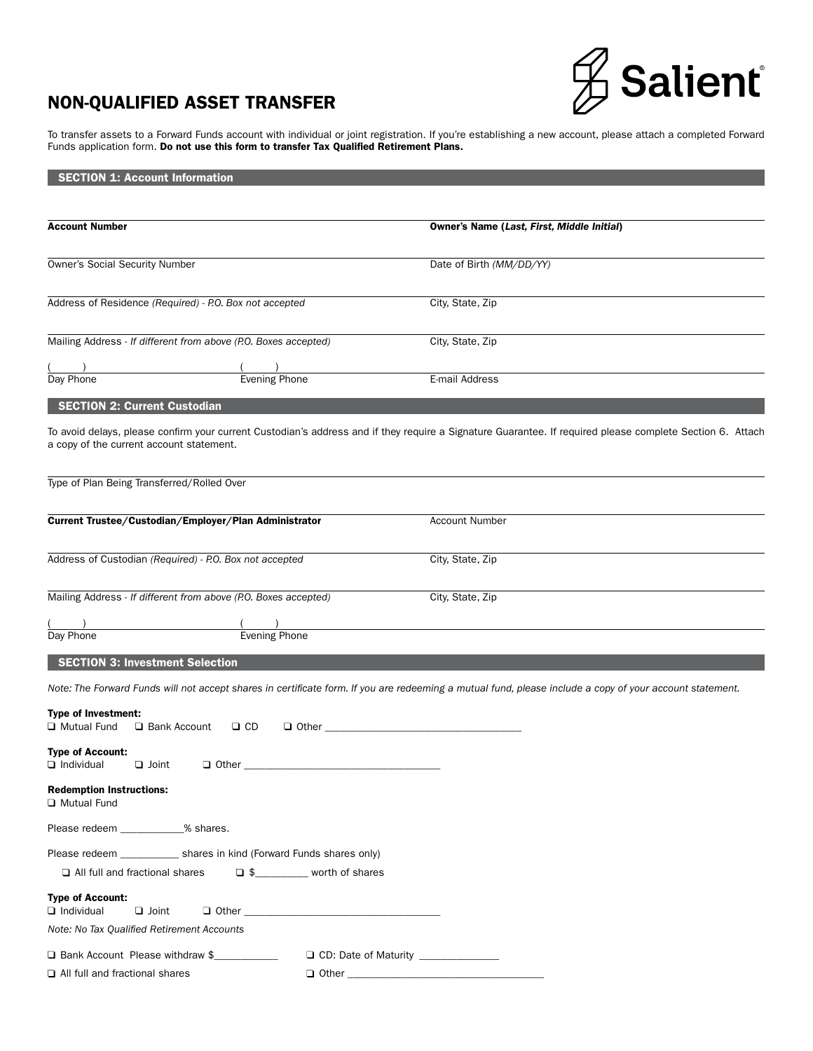# NON-QUALIFIED ASSET TRANSFER



To transfer assets to a Forward Funds account with individual or joint registration. If you're establishing a new account, please attach a completed Forward Funds application form. Do not use this form to transfer Tax Qualified Retirement Plans.

# **SECTION 1: Account Information**

| <b>Account Number</b>                                                              | <b>Owner's Name (Last, First, Middle Initial)</b>                                                                                                         |
|------------------------------------------------------------------------------------|-----------------------------------------------------------------------------------------------------------------------------------------------------------|
|                                                                                    |                                                                                                                                                           |
| <b>Owner's Social Security Number</b>                                              | Date of Birth (MM/DD/YY)                                                                                                                                  |
| Address of Residence (Required) - P.O. Box not accepted                            | City, State, Zip                                                                                                                                          |
|                                                                                    |                                                                                                                                                           |
| Mailing Address - If different from above (P.O. Boxes accepted)                    | City, State, Zip                                                                                                                                          |
| <b>Evening Phone</b><br>Day Phone                                                  | E-mail Address                                                                                                                                            |
| <b>SECTION 2: Current Custodian</b>                                                |                                                                                                                                                           |
| a copy of the current account statement.                                           | To avoid delays, please confirm your current Custodian's address and if they require a Signature Guarantee. If required please complete Section 6. Attach |
| Type of Plan Being Transferred/Rolled Over                                         |                                                                                                                                                           |
| Current Trustee/Custodian/Employer/Plan Administrator                              | <b>Account Number</b>                                                                                                                                     |
| Address of Custodian (Required) - P.O. Box not accepted                            | City, State, Zip                                                                                                                                          |
| Mailing Address - If different from above (P.O. Boxes accepted)                    | City, State, Zip                                                                                                                                          |
|                                                                                    |                                                                                                                                                           |
| Evening Phone<br>Day Phone                                                         |                                                                                                                                                           |
| <b>SECTION 3: Investment Selection</b>                                             |                                                                                                                                                           |
|                                                                                    | Note: The Forward Funds will not accept shares in certificate form. If you are redeeming a mutual fund, please include a copy of your account statement.  |
| <b>Type of Investment:</b><br><b>Q</b> Mutual Fund<br>□ Bank Account<br>$\Box$ CD  | $\Box$ Other $\Box$                                                                                                                                       |
| <b>Type of Account:</b><br>$\Box$ Individual<br>$\Box$ Joint                       |                                                                                                                                                           |
| <b>Redemption Instructions:</b><br>Mutual Fund                                     |                                                                                                                                                           |
| Please redeem ____________% shares.                                                |                                                                                                                                                           |
| Please redeem ______________ shares in kind (Forward Funds shares only)            |                                                                                                                                                           |
| S <sub>____________</sub> worth of shares<br>$\Box$ All full and fractional shares |                                                                                                                                                           |
| <b>Type of Account:</b><br>$\Box$ Individual<br>$\Box$ Joint                       |                                                                                                                                                           |
| Note: No Tax Qualified Retirement Accounts                                         |                                                                                                                                                           |
| □ Bank Account Please withdraw \$                                                  | $\Box$ CD: Date of Maturity                                                                                                                               |
| All full and fractional shares                                                     |                                                                                                                                                           |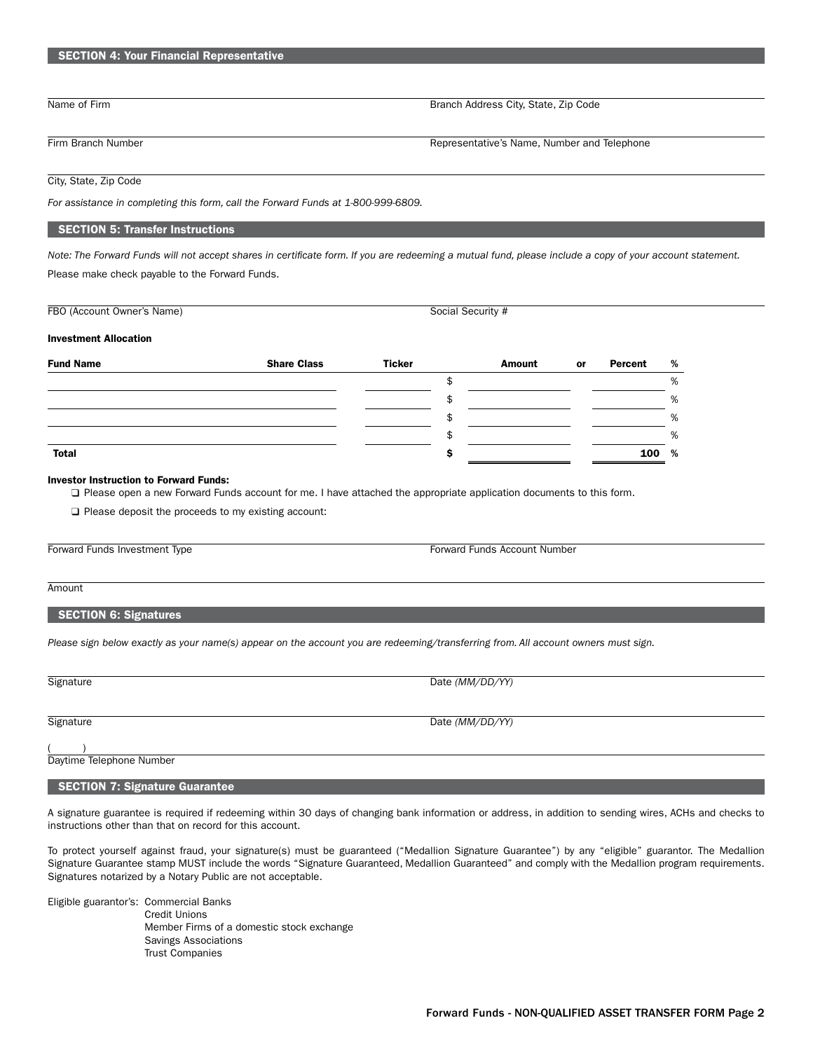# SECTION 4: Your Financial Representative

Name of Firm Branch Address City, State, Zip Code

Firm Branch Number **Representative's Name, Number and Telephone** 

# City, State, Zip Code

*For assistance in completing this form, call the Forward Funds at 1-800-999-6809.*

### SECTION 5: Transfer Instructions

*Note: The Forward Funds will not accept shares in certificate form. If you are redeeming a mutual fund, please include a copy of your account statement.* Please make check payable to the Forward Funds.

| FBO (Account Owner's Name)   | Social Security #  |               |        |           |         |   |
|------------------------------|--------------------|---------------|--------|-----------|---------|---|
| <b>Investment Allocation</b> |                    |               |        |           |         |   |
| <b>Fund Name</b>             | <b>Share Class</b> | <b>Ticker</b> | Amount | <b>or</b> | Percent | % |
|                              |                    |               |        |           |         | % |
|                              |                    |               |        |           |         | % |
|                              |                    |               |        |           |         | % |
|                              |                    | \$            |        |           |         | % |
| <b>Total</b>                 |                    |               |        |           | 100     | % |

#### Investor Instruction to Forward Funds:

Please open a new Forward Funds account for me. I have attached the appropriate application documents to this form.

 $\square$  Please deposit the proceeds to my existing account:

Forward Funds Investment Type Forward Funds Account Number

#### Amount

#### SECTION 6: Signatures

*Please sign below exactly as your name(s) appear on the account you are redeeming/transferring from. All account owners must sign.*

| Signature                | Date (MM/DD/YY) |
|--------------------------|-----------------|
|                          |                 |
|                          |                 |
| Signature                | Date (MM/DD/YY) |
|                          |                 |
|                          |                 |
| Daytime Telephone Number |                 |

# **SECTION 7: Signature Guarantee**

A signature guarantee is required if redeeming within 30 days of changing bank information or address, in addition to sending wires, ACHs and checks to instructions other than that on record for this account.

To protect yourself against fraud, your signature(s) must be guaranteed ("Medallion Signature Guarantee") by any "eligible" guarantor. The Medallion Signature Guarantee stamp MUST include the words "Signature Guaranteed, Medallion Guaranteed" and comply with the Medallion program requirements. Signatures notarized by a Notary Public are not acceptable.

Eligible guarantor's: Commercial Banks Credit Unions Member Firms of a domestic stock exchange Savings Associations Trust Companies